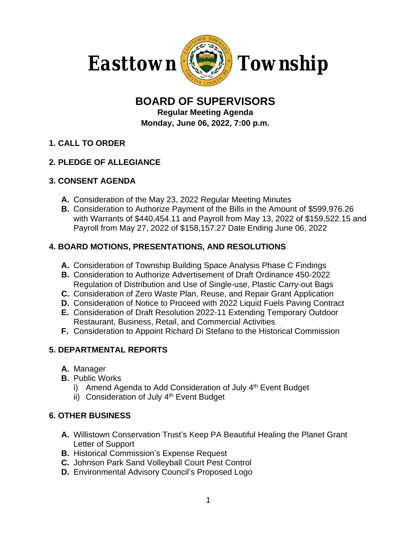

# **BOARD OF SUPERVISORS**

**Regular Meeting Agenda Monday, June 06, 2022, 7:00 p.m.**

**1. CALL TO ORDER**

## **2. PLEDGE OF ALLEGIANCE**

#### **3. CONSENT AGENDA**

- **A.** Consideration of the May 23, 2022 Regular Meeting Minutes
- **B.** Consideration to Authorize Payment of the Bills in the Amount of \$599,976.26 with Warrants of \$440,454.11 and Payroll from May 13, 2022 of \$159,522.15 and Payroll from May 27, 2022 of \$158,157.27 Date Ending June 06, 2022

### **4. BOARD MOTIONS, PRESENTATIONS, AND RESOLUTIONS**

- **A.** Consideration of Township Building Space Analysis Phase C Findings
- **B.** Consideration to Authorize Advertisement of Draft Ordinance 450-2022 Regulation of Distribution and Use of Single-use, Plastic Carry-out Bags
- **C.** Consideration of Zero Waste Plan, Reuse, and Repair Grant Application
- **D.** Consideration of Notice to Proceed with 2022 Liquid Fuels Paving Contract
- **E.** Consideration of Draft Resolution 2022-11 Extending Temporary Outdoor Restaurant, Business, Retail, and Commercial Activities
- **F.** Consideration to Appoint Richard Di Stefano to the Historical Commission

### **5. DEPARTMENTAL REPORTS**

- **A.** Manager
- **B.** Public Works
	- i) Amend Agenda to Add Consideration of July  $4<sup>th</sup>$  Event Budget
	- ii) Consideration of July 4<sup>th</sup> Event Budget

### **6. OTHER BUSINESS**

- **A.** Willistown Conservation Trust's Keep PA Beautiful Healing the Planet Grant Letter of Support
- **B.** Historical Commission's Expense Request
- **C.** Johnson Park Sand Volleyball Court Pest Control
- **D.** Environmental Advisory Council's Proposed Logo